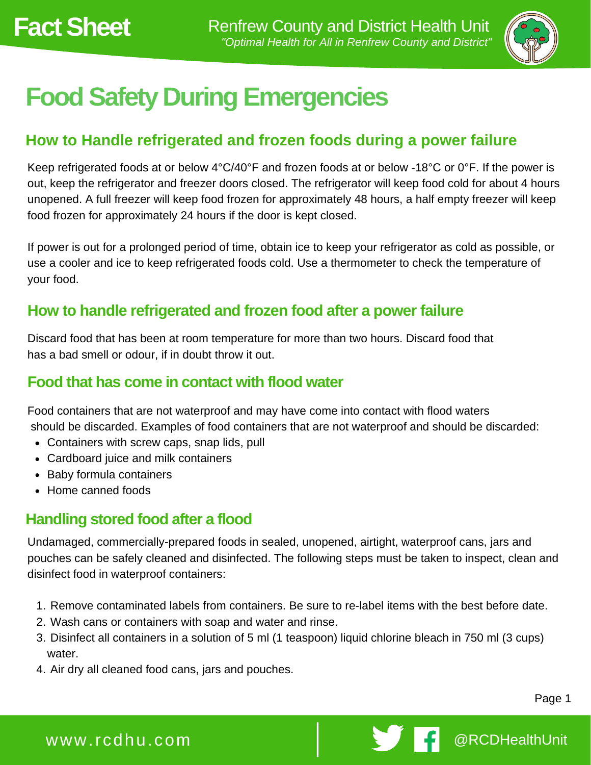

# **Food Safety During Emergencies**

## **How to Handle refrigerated and frozen foods during a power failure**

Keep refrigerated foods at or below 4°C/40°F and frozen foods at or below -18°C or 0°F. If the power is out, keep the refrigerator and freezer doors closed. The refrigerator will keep food cold for about 4 hours unopened. A full freezer will keep food frozen for approximately 48 hours, a half empty freezer will keep food frozen for approximately 24 hours if the door is kept closed.

If power is out for a prolonged period of time, obtain ice to keep your refrigerator as cold as possible, or use a cooler and ice to keep refrigerated foods cold. Use a thermometer to check the temperature of your food.

## **How to handle refrigerated and frozen food after a power failure**

Discard food that has been at room temperature for more than two hours. Discard food that has a bad smell or odour, if in doubt throw it out.

#### **Food that has come in contact with flood water**

Food containers that are not waterproof and may have come into contact with flood waters should be discarded. Examples of food containers that are not waterproof and should be discarded:

- Containers with screw caps, snap lids, pull
- Cardboard juice and milk containers
- Baby formula containers
- Home canned foods

### **Handling stored food after a flood**

Undamaged, commercially-prepared foods in sealed, unopened, airtight, waterproof cans, jars and pouches can be safely cleaned and disinfected. The following steps must be taken to inspect, clean and disinfect food in waterproof containers:

- 1. Remove contaminated labels from containers. Be sure to re-label items with the best before date.
- Wash cans or containers with soap and water and rinse. 2.
- 3. Disinfect all containers in a solution of 5 ml (1 teaspoon) liquid chlorine bleach in 750 ml (3 cups) water.
- 4. Air dry all cleaned food cans, jars and pouches.

Page 1

# www.rcdhu.com **@RCDHealthUnit**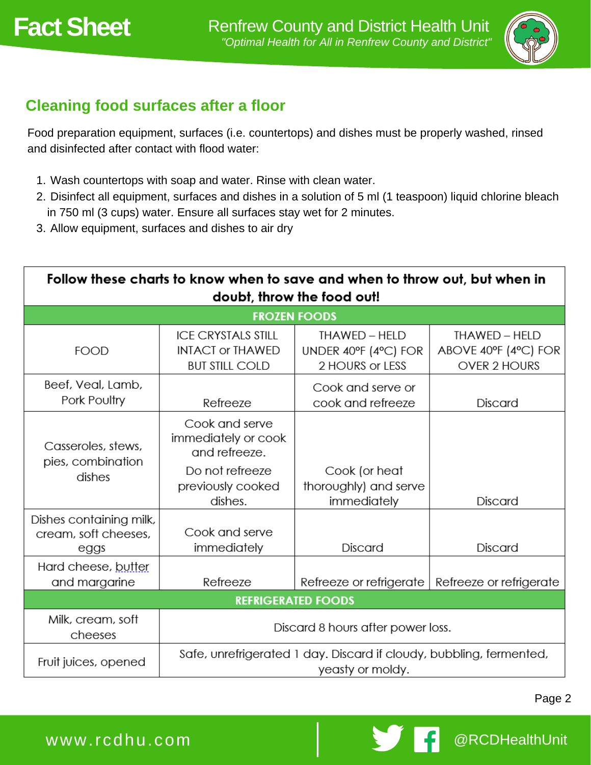

# **Cleaning food surfaces after a floor**

Food preparation equipment, surfaces (i.e. countertops) and dishes must be properly washed, rinsed and disinfected after contact with flood water:

- Wash countertops with soap and water. Rinse with clean water. 1.
- 2. Disinfect all equipment, surfaces and dishes in a solution of 5 ml (1 teaspoon) liquid chlorine bleach in 750 ml (3 cups) water. Ensure all surfaces stay wet for 2 minutes.
- Allow equipment, surfaces and dishes to air dry 3.

| Follow these charts to know when to save and when to throw out, but when in |                                                                                                           |                                                          |                                                       |  |
|-----------------------------------------------------------------------------|-----------------------------------------------------------------------------------------------------------|----------------------------------------------------------|-------------------------------------------------------|--|
| doubt, throw the food out!                                                  |                                                                                                           |                                                          |                                                       |  |
| <b>FROZEN FOODS</b>                                                         |                                                                                                           |                                                          |                                                       |  |
| <b>FOOD</b>                                                                 | <b>ICE CRYSTALS STILL</b><br><b>INTACT or THAWED</b><br><b>BUT STILL COLD</b>                             | THAWED - HELD<br>UNDER 40°F (4°C) FOR<br>2 HOURS or LESS | THAWED - HELD<br>ABOVE 40°F (4°C) FOR<br>OVER 2 HOURS |  |
| Beef, Veal, Lamb,<br>Pork Poultry                                           | Refreeze                                                                                                  | Cook and serve or<br>cook and refreeze                   | <b>Discard</b>                                        |  |
| Casseroles, stews,<br>pies, combination<br>dishes                           | Cook and serve<br>immediately or cook<br>and refreeze.<br>Do not refreeze<br>previously cooked<br>dishes. | Cook (or heat<br>thoroughly) and serve<br>immediately    | <b>Discard</b>                                        |  |
| Dishes containing milk,<br>cream, soft cheeses,<br>eggs                     | Cook and serve<br>immediately                                                                             | Discard                                                  | <b>Discard</b>                                        |  |
| Hard cheese, butter<br>and margarine                                        | Refreeze                                                                                                  | Refreeze or refrigerate                                  | Refreeze or refrigerate                               |  |
| <b>REFRIGERATED FOODS</b>                                                   |                                                                                                           |                                                          |                                                       |  |
| Milk, cream, soft<br>cheeses                                                | Discard 8 hours after power loss.                                                                         |                                                          |                                                       |  |
| Fruit juices, opened                                                        | Safe, unrefrigerated 1 day. Discard if cloudy, bubbling, fermented,<br>yeasty or moldy.                   |                                                          |                                                       |  |